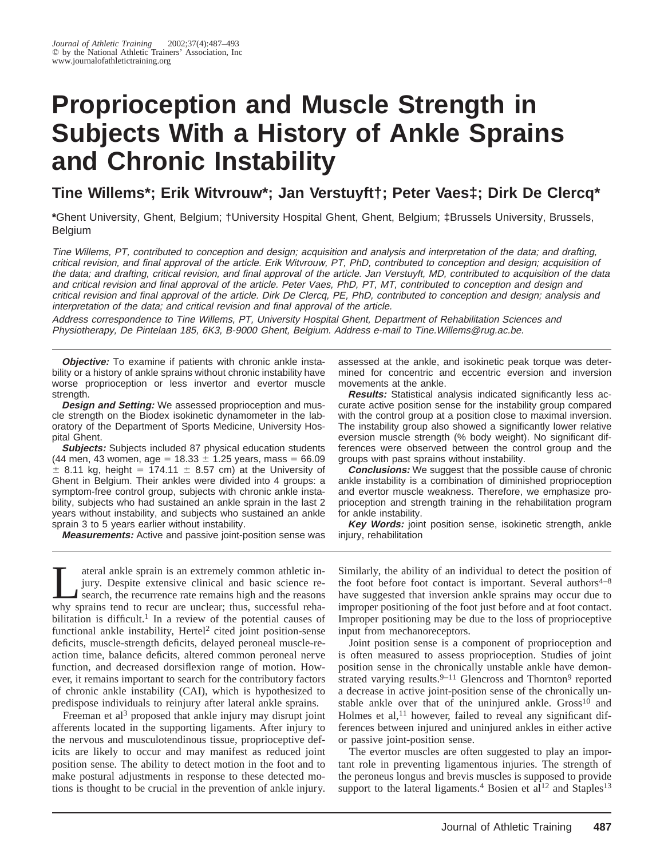# **Proprioception and Muscle Strength in Subjects With a History of Ankle Sprains and Chronic Instability**

# **Tine Willems\*; Erik Witvrouw\*; Jan Verstuyft†; Peter Vaes‡; Dirk De Clercq\***

**\***Ghent University, Ghent, Belgium; †University Hospital Ghent, Ghent, Belgium; ‡Brussels University, Brussels, Belgium

Tine Willems, PT, contributed to conception and design; acquisition and analysis and interpretation of the data; and drafting, critical revision, and final approval of the article. Erik Witvrouw, PT, PhD, contributed to conception and design; acquisition of the data; and drafting, critical revision, and final approval of the article. Jan Verstuyft, MD, contributed to acquisition of the data and critical revision and final approval of the article. Peter Vaes, PhD, PT, MT, contributed to conception and design and critical revision and final approval of the article. Dirk De Clercq, PE, PhD, contributed to conception and design; analysis and interpretation of the data; and critical revision and final approval of the article.

Address correspondence to Tine Willems, PT, University Hospital Ghent, Department of Rehabilitation Sciences and Physiotherapy, De Pintelaan 185, 6K3, B-9000 Ghent, Belgium. Address e-mail to Tine.Willems@rug.ac.be.

**Objective:** To examine if patients with chronic ankle instability or a history of ankle sprains without chronic instability have worse proprioception or less invertor and evertor muscle strength.

**Design and Setting:** We assessed proprioception and muscle strength on the Biodex isokinetic dynamometer in the laboratory of the Department of Sports Medicine, University Hospital Ghent.

**Subjects:** Subjects included 87 physical education students (44 men, 43 women, age =  $18.33 \pm 1.25$  years, mass = 66.09  $\pm$  8.11 kg, height = 174.11  $\pm$  8.57 cm) at the University of Ghent in Belgium. Their ankles were divided into 4 groups: a symptom-free control group, subjects with chronic ankle instability, subjects who had sustained an ankle sprain in the last 2 years without instability, and subjects who sustained an ankle sprain 3 to 5 years earlier without instability.

**Measurements:** Active and passive joint-position sense was

assessed at the ankle, and isokinetic peak torque was determined for concentric and eccentric eversion and inversion movements at the ankle.

**Results:** Statistical analysis indicated significantly less accurate active position sense for the instability group compared with the control group at a position close to maximal inversion. The instability group also showed a significantly lower relative eversion muscle strength (% body weight). No significant differences were observed between the control group and the groups with past sprains without instability.

**Conclusions:** We suggest that the possible cause of chronic ankle instability is a combination of diminished proprioception and evertor muscle weakness. Therefore, we emphasize proprioception and strength training in the rehabilitation program for ankle instability.

**Key Words:** joint position sense, isokinetic strength, ankle injury, rehabilitation

I ateral ankle sprain is an extremely common athletic in-<br>
jury. Despite extensive clinical and basic science re-<br>
search, the recurrence rate remains high and the reasons<br>
why sprains tend to recur are unclear: thus, succ jury. Despite extensive clinical and basic science rewhy sprains tend to recur are unclear; thus, successful rehabilitation is difficult.<sup>1</sup> In a review of the potential causes of functional ankle instability, Hertel<sup>2</sup> cited joint position-sense deficits, muscle-strength deficits, delayed peroneal muscle-reaction time, balance deficits, altered common peroneal nerve function, and decreased dorsiflexion range of motion. However, it remains important to search for the contributory factors of chronic ankle instability (CAI), which is hypothesized to predispose individuals to reinjury after lateral ankle sprains.

Freeman et al<sup>3</sup> proposed that ankle injury may disrupt joint afferents located in the supporting ligaments. After injury to the nervous and musculotendinous tissue, proprioceptive deficits are likely to occur and may manifest as reduced joint position sense. The ability to detect motion in the foot and to make postural adjustments in response to these detected motions is thought to be crucial in the prevention of ankle injury.

Similarly, the ability of an individual to detect the position of the foot before foot contact is important. Several authors<sup> $4-8$ </sup> have suggested that inversion ankle sprains may occur due to improper positioning of the foot just before and at foot contact. Improper positioning may be due to the loss of proprioceptive input from mechanoreceptors.

Joint position sense is a component of proprioception and is often measured to assess proprioception. Studies of joint position sense in the chronically unstable ankle have demonstrated varying results.<sup>9–11</sup> Glencross and Thornton<sup>9</sup> reported a decrease in active joint-position sense of the chronically unstable ankle over that of the uninjured ankle.  $Gross^{10}$  and Holmes et al, $^{11}$  however, failed to reveal any significant differences between injured and uninjured ankles in either active or passive joint-position sense.

The evertor muscles are often suggested to play an important role in preventing ligamentous injuries. The strength of the peroneus longus and brevis muscles is supposed to provide support to the lateral ligaments.<sup>4</sup> Bosien et al<sup>12</sup> and Staples<sup>13</sup>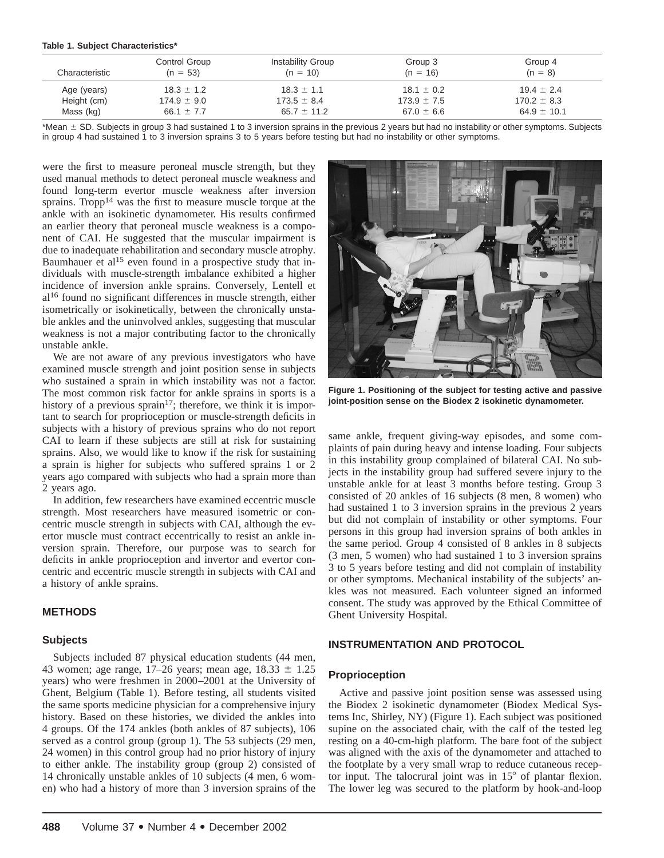|  |  | Table 1. Subject Characteristics* |
|--|--|-----------------------------------|
|--|--|-----------------------------------|

| Characteristic | Control Group<br>$(n = 53)$ | Instability Group<br>$(n = 10)$ | Group 3<br>$(n = 16)$ | Group 4<br>$(n = 8)$ |
|----------------|-----------------------------|---------------------------------|-----------------------|----------------------|
| Age (years)    | $18.3 \pm 1.2$              | $18.3 \pm 1.1$                  | $18.1 \pm 0.2$        | $19.4 \pm 2.4$       |
| Height (cm)    | $174.9 \pm 9.0$             | $173.5 \pm 8.4$                 | $173.9 \pm 7.5$       | $170.2 \pm 8.3$      |
| Mass (kg)      | 66.1 $\pm$ 7.7              | $65.7 \pm 11.2$                 | $67.0 \pm 6.6$        | 64.9 $\pm$ 10.1      |

\*Mean  $\pm$  SD. Subjects in group 3 had sustained 1 to 3 inversion sprains in the previous 2 years but had no instability or other symptoms. Subjects in group 4 had sustained 1 to 3 inversion sprains 3 to 5 years before testing but had no instability or other symptoms.

were the first to measure peroneal muscle strength, but they used manual methods to detect peroneal muscle weakness and found long-term evertor muscle weakness after inversion sprains. Tropp<sup>14</sup> was the first to measure muscle torque at the ankle with an isokinetic dynamometer. His results confirmed an earlier theory that peroneal muscle weakness is a component of CAI. He suggested that the muscular impairment is due to inadequate rehabilitation and secondary muscle atrophy. Baumhauer et al<sup>15</sup> even found in a prospective study that individuals with muscle-strength imbalance exhibited a higher incidence of inversion ankle sprains. Conversely, Lentell et al16 found no significant differences in muscle strength, either isometrically or isokinetically, between the chronically unstable ankles and the uninvolved ankles, suggesting that muscular weakness is not a major contributing factor to the chronically unstable ankle.

We are not aware of any previous investigators who have examined muscle strength and joint position sense in subjects who sustained a sprain in which instability was not a factor. The most common risk factor for ankle sprains in sports is a history of a previous sprain<sup>17</sup>; therefore, we think it is important to search for proprioception or muscle-strength deficits in subjects with a history of previous sprains who do not report CAI to learn if these subjects are still at risk for sustaining sprains. Also, we would like to know if the risk for sustaining a sprain is higher for subjects who suffered sprains 1 or 2 years ago compared with subjects who had a sprain more than 2 years ago.

In addition, few researchers have examined eccentric muscle strength. Most researchers have measured isometric or concentric muscle strength in subjects with CAI, although the evertor muscle must contract eccentrically to resist an ankle inversion sprain. Therefore, our purpose was to search for deficits in ankle proprioception and invertor and evertor concentric and eccentric muscle strength in subjects with CAI and a history of ankle sprains.

# **METHODS**

#### **Subjects**

Subjects included 87 physical education students (44 men, 43 women; age range, 17–26 years; mean age,  $18.33 \pm 1.25$ years) who were freshmen in 2000–2001 at the University of Ghent, Belgium (Table 1). Before testing, all students visited the same sports medicine physician for a comprehensive injury history. Based on these histories, we divided the ankles into 4 groups. Of the 174 ankles (both ankles of 87 subjects), 106 served as a control group (group 1). The 53 subjects (29 men, 24 women) in this control group had no prior history of injury to either ankle. The instability group (group 2) consisted of 14 chronically unstable ankles of 10 subjects (4 men, 6 women) who had a history of more than 3 inversion sprains of the



**Figure 1. Positioning of the subject for testing active and passive joint-position sense on the Biodex 2 isokinetic dynamometer.**

same ankle, frequent giving-way episodes, and some complaints of pain during heavy and intense loading. Four subjects in this instability group complained of bilateral CAI. No subjects in the instability group had suffered severe injury to the unstable ankle for at least 3 months before testing. Group 3 consisted of 20 ankles of 16 subjects (8 men, 8 women) who had sustained 1 to 3 inversion sprains in the previous 2 years but did not complain of instability or other symptoms. Four persons in this group had inversion sprains of both ankles in the same period. Group 4 consisted of 8 ankles in 8 subjects (3 men, 5 women) who had sustained 1 to 3 inversion sprains 3 to 5 years before testing and did not complain of instability or other symptoms. Mechanical instability of the subjects' ankles was not measured. Each volunteer signed an informed consent. The study was approved by the Ethical Committee of Ghent University Hospital.

# **INSTRUMENTATION AND PROTOCOL**

#### **Proprioception**

Active and passive joint position sense was assessed using the Biodex 2 isokinetic dynamometer (Biodex Medical Systems Inc, Shirley, NY) (Figure 1). Each subject was positioned supine on the associated chair, with the calf of the tested leg resting on a 40-cm-high platform. The bare foot of the subject was aligned with the axis of the dynamometer and attached to the footplate by a very small wrap to reduce cutaneous receptor input. The talocrural joint was in  $15^{\circ}$  of plantar flexion. The lower leg was secured to the platform by hook-and-loop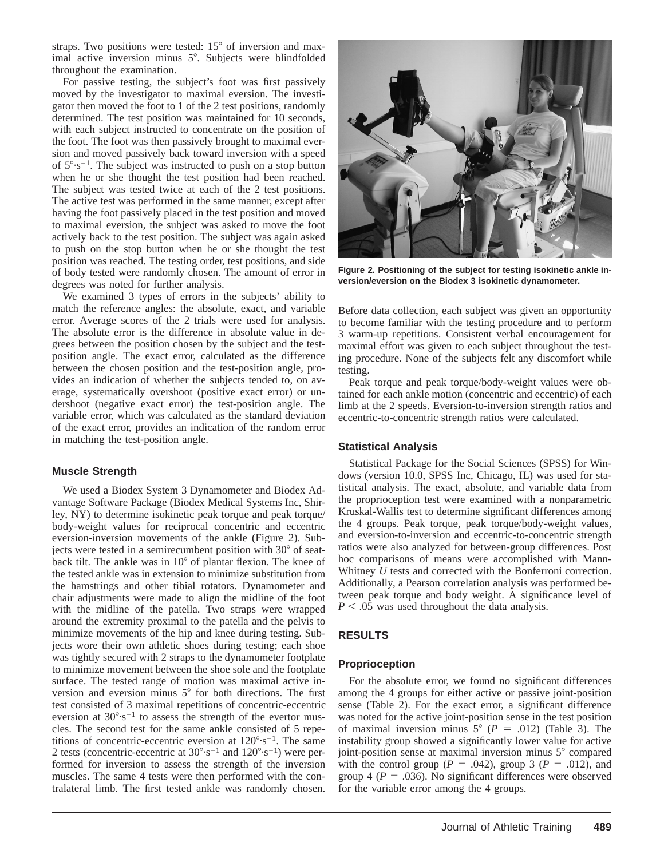straps. Two positions were tested:  $15^{\circ}$  of inversion and maximal active inversion minus 5°. Subjects were blindfolded throughout the examination.

For passive testing, the subject's foot was first passively moved by the investigator to maximal eversion. The investigator then moved the foot to 1 of the 2 test positions, randomly determined. The test position was maintained for 10 seconds, with each subject instructed to concentrate on the position of the foot. The foot was then passively brought to maximal eversion and moved passively back toward inversion with a speed of  $5^{\circ} \cdot s^{-1}$ . The subject was instructed to push on a stop button when he or she thought the test position had been reached. The subject was tested twice at each of the 2 test positions. The active test was performed in the same manner, except after having the foot passively placed in the test position and moved to maximal eversion, the subject was asked to move the foot actively back to the test position. The subject was again asked to push on the stop button when he or she thought the test position was reached. The testing order, test positions, and side of body tested were randomly chosen. The amount of error in degrees was noted for further analysis.

We examined 3 types of errors in the subjects' ability to match the reference angles: the absolute, exact, and variable error. Average scores of the 2 trials were used for analysis. The absolute error is the difference in absolute value in degrees between the position chosen by the subject and the testposition angle. The exact error, calculated as the difference between the chosen position and the test-position angle, provides an indication of whether the subjects tended to, on average, systematically overshoot (positive exact error) or undershoot (negative exact error) the test-position angle. The variable error, which was calculated as the standard deviation of the exact error, provides an indication of the random error in matching the test-position angle.

# **Muscle Strength**

We used a Biodex System 3 Dynamometer and Biodex Advantage Software Package (Biodex Medical Systems Inc, Shirley, NY) to determine isokinetic peak torque and peak torque/ body-weight values for reciprocal concentric and eccentric eversion-inversion movements of the ankle (Figure 2). Subjects were tested in a semirecumbent position with  $30^{\circ}$  of seatback tilt. The ankle was in  $10^{\circ}$  of plantar flexion. The knee of the tested ankle was in extension to minimize substitution from the hamstrings and other tibial rotators. Dynamometer and chair adjustments were made to align the midline of the foot with the midline of the patella. Two straps were wrapped around the extremity proximal to the patella and the pelvis to minimize movements of the hip and knee during testing. Subjects wore their own athletic shoes during testing; each shoe was tightly secured with 2 straps to the dynamometer footplate to minimize movement between the shoe sole and the footplate surface. The tested range of motion was maximal active inversion and eversion minus  $5^\circ$  for both directions. The first test consisted of 3 maximal repetitions of concentric-eccentric eversion at  $30^{\circ} \cdot s^{-1}$  to assess the strength of the evertor muscles. The second test for the same ankle consisted of 5 repetitions of concentric-eccentric eversion at  $120^{\circ} \cdot s^{-1}$ . The same 2 tests (concentric-eccentric at  $30^{\circ} \cdot s^{-1}$  and  $120^{\circ} \cdot s^{-1}$ ) were performed for inversion to assess the strength of the inversion muscles. The same 4 tests were then performed with the contralateral limb. The first tested ankle was randomly chosen.



**Figure 2. Positioning of the subject for testing isokinetic ankle inversion/eversion on the Biodex 3 isokinetic dynamometer.**

Before data collection, each subject was given an opportunity to become familiar with the testing procedure and to perform 3 warm-up repetitions. Consistent verbal encouragement for maximal effort was given to each subject throughout the testing procedure. None of the subjects felt any discomfort while testing.

Peak torque and peak torque/body-weight values were obtained for each ankle motion (concentric and eccentric) of each limb at the 2 speeds. Eversion-to-inversion strength ratios and eccentric-to-concentric strength ratios were calculated.

# **Statistical Analysis**

Statistical Package for the Social Sciences (SPSS) for Windows (version 10.0, SPSS Inc, Chicago, IL) was used for statistical analysis. The exact, absolute, and variable data from the proprioception test were examined with a nonparametric Kruskal-Wallis test to determine significant differences among the 4 groups. Peak torque, peak torque/body-weight values, and eversion-to-inversion and eccentric-to-concentric strength ratios were also analyzed for between-group differences. Post hoc comparisons of means were accomplished with Mann-Whitney *U* tests and corrected with the Bonferroni correction. Additionally, a Pearson correlation analysis was performed between peak torque and body weight. A significance level of  $P < .05$  was used throughout the data analysis.

# **RESULTS**

# **Proprioception**

For the absolute error, we found no significant differences among the 4 groups for either active or passive joint-position sense (Table 2). For the exact error, a significant difference was noted for the active joint-position sense in the test position of maximal inversion minus  $5^{\circ}$  ( $P = .012$ ) (Table 3). The instability group showed a significantly lower value for active joint-position sense at maximal inversion minus  $5^\circ$  compared with the control group ( $P = .042$ ), group 3 ( $P = .012$ ), and group 4 ( $P = .036$ ). No significant differences were observed for the variable error among the 4 groups.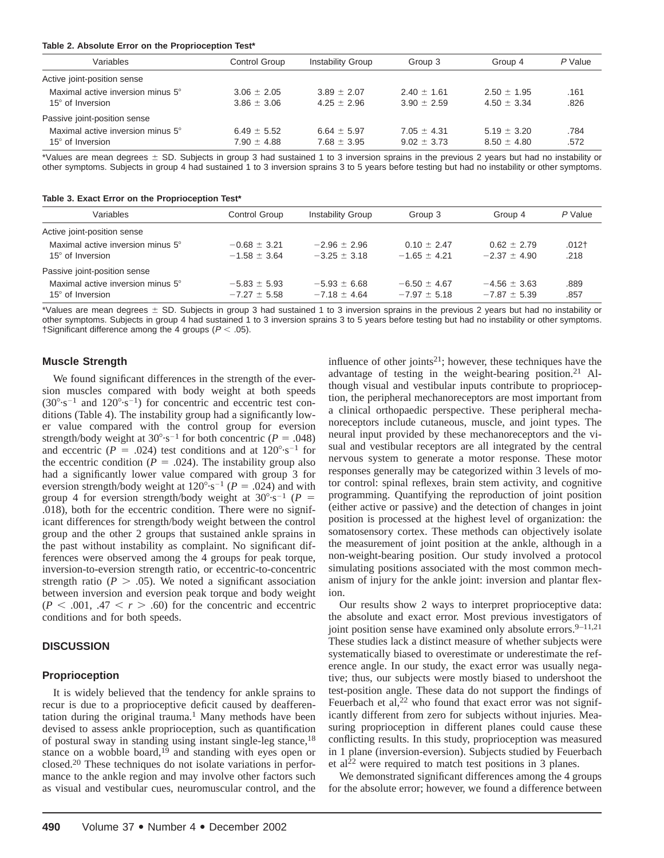#### **Table 2. Absolute Error on the Proprioception Test\***

| Variables                                                    | Control Group                      | Instability Group                  | Group 3                            | Group 4                            | P Value      |
|--------------------------------------------------------------|------------------------------------|------------------------------------|------------------------------------|------------------------------------|--------------|
| Active joint-position sense                                  |                                    |                                    |                                    |                                    |              |
| Maximal active inversion minus 5°<br>$15^\circ$ of Inversion | $3.06 \pm 2.05$<br>$3.86 \pm 3.06$ | $3.89 \pm 2.07$<br>$4.25 \pm 2.96$ | $2.40 \pm 1.61$<br>$3.90 \pm 2.59$ | $2.50 \pm 1.95$<br>$4.50 \pm 3.34$ | .161<br>.826 |
| Passive joint-position sense                                 |                                    |                                    |                                    |                                    |              |
| Maximal active inversion minus 5°<br>$15^\circ$ of Inversion | 6.49 $\pm$ 5.52<br>$7.90 \pm 4.88$ | 6.64 $\pm$ 5.97<br>$7.68 \pm 3.95$ | $7.05 \pm 4.31$<br>$9.02 \pm 3.73$ | $5.19 \pm 3.20$<br>$8.50 \pm 4.80$ | .784<br>.572 |

\*Values are mean degrees  $\pm$  SD. Subjects in group 3 had sustained 1 to 3 inversion sprains in the previous 2 years but had no instability or other symptoms. Subjects in group 4 had sustained 1 to 3 inversion sprains 3 to 5 years before testing but had no instability or other symptoms.

**Table 3. Exact Error on the Proprioception Test\***

| Variables                                                    | <b>Control Group</b>                 | <b>Instability Group</b>             | Group 3                              | Group 4                            | P Value         |
|--------------------------------------------------------------|--------------------------------------|--------------------------------------|--------------------------------------|------------------------------------|-----------------|
| Active joint-position sense                                  |                                      |                                      |                                      |                                    |                 |
| Maximal active inversion minus 5°<br>$15^\circ$ of Inversion | $-0.68 \pm 3.21$<br>$-1.58 \pm 3.64$ | $-2.96 \pm 2.96$<br>$-3.25 \pm 3.18$ | $0.10 + 2.47$<br>$-1.65 \pm 4.21$    | $0.62 + 2.79$<br>$-2.37 + 4.90$    | $.012+$<br>.218 |
| Passive joint-position sense                                 |                                      |                                      |                                      |                                    |                 |
| Maximal active inversion minus 5°<br>15° of Inversion        | $-5.83 \pm 5.93$<br>$-7.27 \pm 5.58$ | $-5.93 \pm 6.68$<br>$-7.18 + 4.64$   | $-6.50 \pm 4.67$<br>$-7.97 \pm 5.18$ | $-4.56 \pm 3.63$<br>$-7.87 + 5.39$ | .889<br>.857    |

\*Values are mean degrees  $\pm$  SD. Subjects in group 3 had sustained 1 to 3 inversion sprains in the previous 2 years but had no instability or other symptoms. Subjects in group 4 had sustained 1 to 3 inversion sprains 3 to 5 years before testing but had no instability or other symptoms. †Significant difference among the 4 groups ( $P < .05$ ).

#### **Muscle Strength**

We found significant differences in the strength of the eversion muscles compared with body weight at both speeds  $(30^{\circ} \cdot s^{-1}$  and  $120^{\circ} \cdot s^{-1})$  for concentric and eccentric test conditions (Table 4). The instability group had a significantly lower value compared with the control group for eversion strength/body weight at  $30^{\circ} \cdot s^{-1}$  for both concentric (*P* = .048) and eccentric ( $P = .024$ ) test conditions and at  $120^{\circ} \text{·s}^{-1}$  for the eccentric condition ( $P = .024$ ). The instability group also had a significantly lower value compared with group 3 for eversion strength/body weight at  $120^{\circ} \cdot s^{-1}$  ( $P = .024$ ) and with group 4 for eversion strength/body weight at  $30^{\circ} \cdot s^{-1}$  ( $P =$ .018), both for the eccentric condition. There were no significant differences for strength/body weight between the control group and the other 2 groups that sustained ankle sprains in the past without instability as complaint. No significant differences were observed among the 4 groups for peak torque, inversion-to-eversion strength ratio, or eccentric-to-concentric strength ratio ( $P > .05$ ). We noted a significant association between inversion and eversion peak torque and body weight  $(P < .001, .47 < r > .60)$  for the concentric and eccentric conditions and for both speeds.

#### **DISCUSSION**

#### **Proprioception**

It is widely believed that the tendency for ankle sprains to recur is due to a proprioceptive deficit caused by deafferentation during the original trauma.<sup>1</sup> Many methods have been devised to assess ankle proprioception, such as quantification of postural sway in standing using instant single-leg stance,18 stance on a wobble board, $19$  and standing with eyes open or closed.20 These techniques do not isolate variations in performance to the ankle region and may involve other factors such as visual and vestibular cues, neuromuscular control, and the

influence of other joints<sup>21</sup>; however, these techniques have the advantage of testing in the weight-bearing position.21 Although visual and vestibular inputs contribute to proprioception, the peripheral mechanoreceptors are most important from a clinical orthopaedic perspective. These peripheral mechanoreceptors include cutaneous, muscle, and joint types. The neural input provided by these mechanoreceptors and the visual and vestibular receptors are all integrated by the central nervous system to generate a motor response. These motor responses generally may be categorized within 3 levels of motor control: spinal reflexes, brain stem activity, and cognitive programming. Quantifying the reproduction of joint position (either active or passive) and the detection of changes in joint position is processed at the highest level of organization: the somatosensory cortex. These methods can objectively isolate the measurement of joint position at the ankle, although in a non-weight-bearing position. Our study involved a protocol simulating positions associated with the most common mechanism of injury for the ankle joint: inversion and plantar flexion.

Our results show 2 ways to interpret proprioceptive data: the absolute and exact error. Most previous investigators of joint position sense have examined only absolute errors. $9-11,21$ These studies lack a distinct measure of whether subjects were systematically biased to overestimate or underestimate the reference angle. In our study, the exact error was usually negative; thus, our subjects were mostly biased to undershoot the test-position angle. These data do not support the findings of Feuerbach et al, $^{22}$  who found that exact error was not significantly different from zero for subjects without injuries. Measuring proprioception in different planes could cause these conflicting results. In this study, proprioception was measured in 1 plane (inversion-eversion). Subjects studied by Feuerbach et al22 were required to match test positions in 3 planes.

We demonstrated significant differences among the 4 groups for the absolute error; however, we found a difference between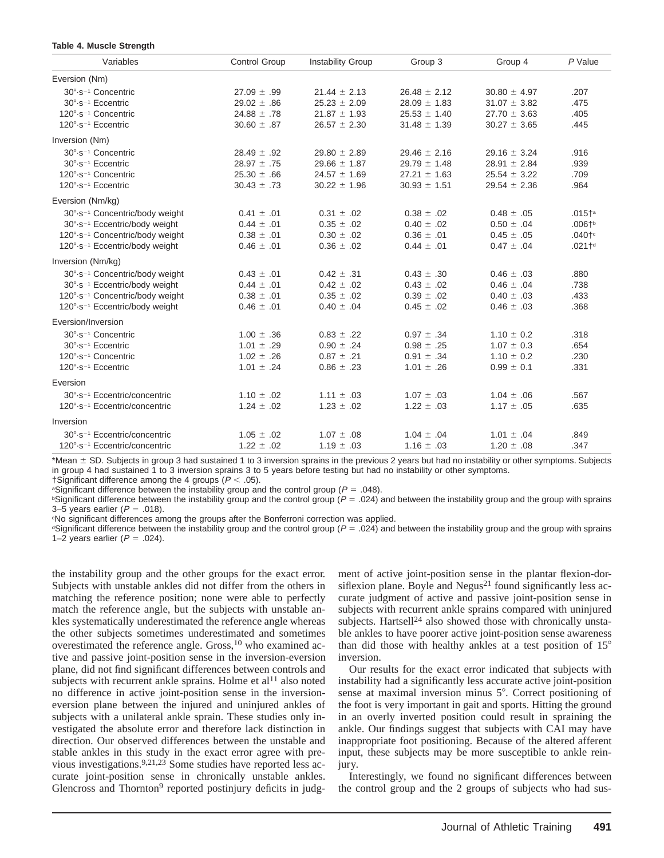#### **Table 4. Muscle Strength**

| Variables                                                                                                                                                                            | <b>Control Group</b>                                                     | <b>Instability Group</b>                                                     | Group 3                                                                      | Group 4                                                                      | $P$ Value                                                               |
|--------------------------------------------------------------------------------------------------------------------------------------------------------------------------------------|--------------------------------------------------------------------------|------------------------------------------------------------------------------|------------------------------------------------------------------------------|------------------------------------------------------------------------------|-------------------------------------------------------------------------|
| Eversion (Nm)                                                                                                                                                                        |                                                                          |                                                                              |                                                                              |                                                                              |                                                                         |
| 30°-s <sup>-1</sup> Concentric<br>30°-s <sup>-1</sup> Eccentric<br>120°-s <sup>-1</sup> Concentric<br>$120^\circ \text{-} s^{-1}$ Eccentric                                          | $27.09 \pm .99$<br>29.02 $\pm$ .86<br>24.88 $\pm$ .78<br>$30.60 \pm .87$ | $21.44 \pm 2.13$<br>$25.23 \pm 2.09$<br>$21.87 \pm 1.93$<br>$26.57 \pm 2.30$ | $26.48 \pm 2.12$<br>$28.09 \pm 1.83$<br>$25.53 \pm 1.40$<br>$31.48 \pm 1.39$ | $30.80 \pm 4.97$<br>$31.07 \pm 3.82$<br>$27.70 \pm 3.63$<br>$30.27 \pm 3.65$ | .207<br>.475<br>.405<br>.445                                            |
| Inversion (Nm)                                                                                                                                                                       |                                                                          |                                                                              |                                                                              |                                                                              |                                                                         |
| 30°-s <sup>-1</sup> Concentric<br>$30^\circ \cdot s^{-1}$ Eccentric<br>120°-s <sup>-1</sup> Concentric<br>120°-s <sup>-1</sup> Eccentric                                             | 28.49 $\pm$ .92<br>$28.97 \pm .75$<br>$25.30 \pm .66$<br>$30.43 \pm .73$ | $29.80 \pm 2.89$<br>$29.66 \pm 1.87$<br>$24.57 \pm 1.69$<br>$30.22 \pm 1.96$ | $29.46 \pm 2.16$<br>$29.79 \pm 1.48$<br>$27.21 \pm 1.63$<br>$30.93 \pm 1.51$ | $29.16 \pm 3.24$<br>$28.91 \pm 2.84$<br>$25.54 \pm 3.22$<br>$29.54 \pm 2.36$ | .916<br>.939<br>.709<br>.964                                            |
| Eversion (Nm/kg)                                                                                                                                                                     |                                                                          |                                                                              |                                                                              |                                                                              |                                                                         |
| 30°-s <sup>-1</sup> Concentric/body weight<br>30°-s <sup>-1</sup> Eccentric/body weight<br>120°-s <sup>-1</sup> Concentric/body weight<br>120°-s <sup>-1</sup> Eccentric/body weight | $0.41 \pm .01$<br>$0.44 \pm .01$<br>$0.38 \pm .01$<br>$0.46 \pm .01$     | $0.31 \pm .02$<br>$0.35 \pm .02$<br>$0.30 \pm .02$<br>$0.36 \pm .02$         | $0.38 \pm .02$<br>$0.40 \pm .02$<br>$0.36 \pm .01$<br>$0.44 \pm .01$         | $0.48 \pm .05$<br>$0.50 \pm .04$<br>$0.45 \pm .05$<br>$0.47 \pm .04$         | .015 <sup>4</sup><br>$.006+$<br>.040 <sup>te</sup><br>.021 <sup>4</sup> |
| Inversion (Nm/kg)                                                                                                                                                                    |                                                                          |                                                                              |                                                                              |                                                                              |                                                                         |
| 30°-s <sup>-1</sup> Concentric/body weight<br>30°-s <sup>-1</sup> Eccentric/body weight<br>120°-s <sup>-1</sup> Concentric/body weight<br>120°-s <sup>-1</sup> Eccentric/body weight | $0.43 \pm .01$<br>$0.44 \pm .01$<br>$0.38 \pm .01$<br>$0.46 \pm .01$     | $0.42 \pm .31$<br>$0.42 \pm .02$<br>$0.35 \pm .02$<br>$0.40 \pm .04$         | $0.43 \pm .30$<br>$0.43 \pm .02$<br>$0.39 \pm .02$<br>$0.45\,\pm\,.02$       | $0.46 \pm .03$<br>$0.46 \pm .04$<br>$0.40 \pm .03$<br>$0.46 \pm .03$         | .880<br>.738<br>.433<br>.368                                            |
| Eversion/Inversion                                                                                                                                                                   |                                                                          |                                                                              |                                                                              |                                                                              |                                                                         |
| 30°-s <sup>-1</sup> Concentric<br>30°-s <sup>-1</sup> Eccentric<br>120°-s <sup>-1</sup> Concentric<br>120°-s <sup>-1</sup> Eccentric                                                 | $1.00 \pm .36$<br>$1.01 \pm .29$<br>$1.02 \pm .26$<br>$1.01 \pm .24$     | $0.83 \pm .22$<br>$0.90 \pm .24$<br>$0.87 \pm .21$<br>$0.86 \pm .23$         | $0.97 \pm .34$<br>$0.98 \pm .25$<br>$0.91 \pm .34$<br>$1.01 \pm .26$         | $1.10 \pm 0.2$<br>$1.07 \pm 0.3$<br>$1.10 \pm 0.2$<br>$0.99 \pm 0.1$         | .318<br>.654<br>.230<br>.331                                            |
| Eversion                                                                                                                                                                             |                                                                          |                                                                              |                                                                              |                                                                              |                                                                         |
| 30°-s <sup>-1</sup> Eccentric/concentric<br>120°-s <sup>-1</sup> Eccentric/concentric                                                                                                | $1.10 \pm .02$<br>$1.24 \pm .02$                                         | $1.11 \pm .03$<br>$1.23 \pm .02$                                             | $1.07 \pm .03$<br>$1.22 \pm .03$                                             | $1.04 \pm .06$<br>$1.17 \pm .05$                                             | .567<br>.635                                                            |
| Inversion                                                                                                                                                                            |                                                                          |                                                                              |                                                                              |                                                                              |                                                                         |
| 30°-s <sup>-1</sup> Eccentric/concentric<br>120°-s <sup>-1</sup> Eccentric/concentric                                                                                                | $1.05 \pm .02$<br>$1.22 \pm .02$                                         | $1.07 \pm .08$<br>$1.19 \pm .03$                                             | $1.04 \pm .04$<br>$1.16 \pm .03$                                             | $1.01 \pm .04$<br>$1.20 \pm .08$                                             | .849<br>.347                                                            |

\*Mean  $\pm$  SD. Subjects in group 3 had sustained 1 to 3 inversion sprains in the previous 2 years but had no instability or other symptoms. Subjects in group 4 had sustained 1 to 3 inversion sprains 3 to 5 years before testing but had no instability or other symptoms.

†Significant difference among the 4 groups ( $P < .05$ ).

<sup>a</sup>Significant difference between the instability group and the control group ( $P = .048$ ).

 $b$ Significant difference between the instability group and the control group ( $P = .024$ ) and between the instability group and the group with sprains 3–5 years earlier ( $P = .018$ ).

c No significant differences among the groups after the Bonferroni correction was applied.

<sup>d</sup>Significant difference between the instability group and the control group ( $P = .024$ ) and between the instability group and the group with sprains 1–2 years earlier ( $P = .024$ ).

the instability group and the other groups for the exact error. Subjects with unstable ankles did not differ from the others in matching the reference position; none were able to perfectly match the reference angle, but the subjects with unstable ankles systematically underestimated the reference angle whereas the other subjects sometimes underestimated and sometimes overestimated the reference angle. Gross, $10$  who examined active and passive joint-position sense in the inversion-eversion plane, did not find significant differences between controls and subjects with recurrent ankle sprains. Holme et  $al<sup>11</sup>$  also noted no difference in active joint-position sense in the inversioneversion plane between the injured and uninjured ankles of subjects with a unilateral ankle sprain. These studies only investigated the absolute error and therefore lack distinction in direction. Our observed differences between the unstable and stable ankles in this study in the exact error agree with previous investigations.<sup>9,21,23</sup> Some studies have reported less accurate joint-position sense in chronically unstable ankles. Glencross and Thornton<sup>9</sup> reported postinjury deficits in judg-

ment of active joint-position sense in the plantar flexion-dorsiflexion plane. Boyle and Negus<sup>21</sup> found significantly less accurate judgment of active and passive joint-position sense in subjects with recurrent ankle sprains compared with uninjured subjects. Hartsell<sup>24</sup> also showed those with chronically unstable ankles to have poorer active joint-position sense awareness than did those with healthy ankles at a test position of  $15^{\circ}$ inversion.

Our results for the exact error indicated that subjects with instability had a significantly less accurate active joint-position sense at maximal inversion minus  $5^\circ$ . Correct positioning of the foot is very important in gait and sports. Hitting the ground in an overly inverted position could result in spraining the ankle. Our findings suggest that subjects with CAI may have inappropriate foot positioning. Because of the altered afferent input, these subjects may be more susceptible to ankle reinjury.

Interestingly, we found no significant differences between the control group and the 2 groups of subjects who had sus-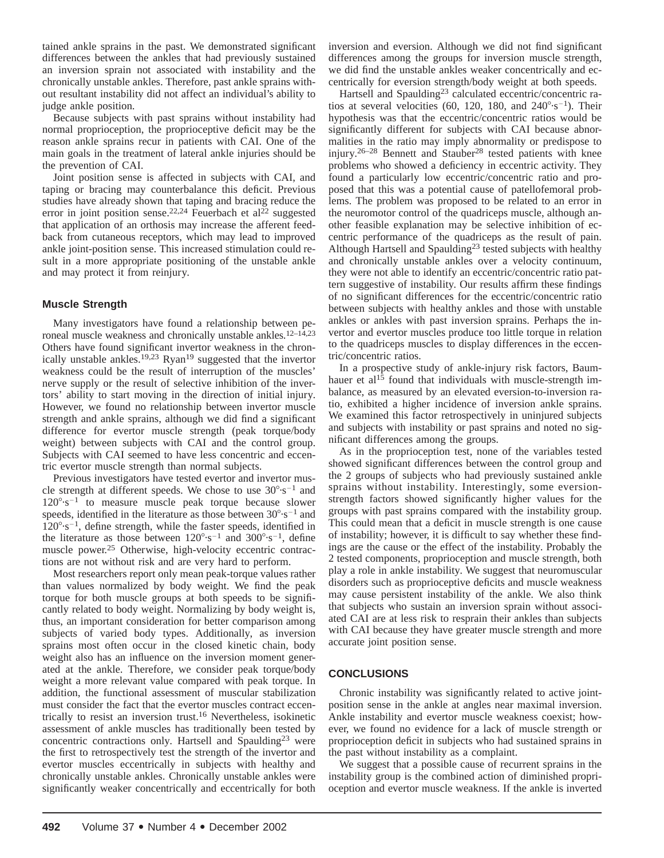tained ankle sprains in the past. We demonstrated significant differences between the ankles that had previously sustained an inversion sprain not associated with instability and the chronically unstable ankles. Therefore, past ankle sprains without resultant instability did not affect an individual's ability to judge ankle position.

Because subjects with past sprains without instability had normal proprioception, the proprioceptive deficit may be the reason ankle sprains recur in patients with CAI. One of the main goals in the treatment of lateral ankle injuries should be the prevention of CAI.

Joint position sense is affected in subjects with CAI, and taping or bracing may counterbalance this deficit. Previous studies have already shown that taping and bracing reduce the error in joint position sense.<sup>22,24</sup> Feuerbach et al<sup>22</sup> suggested that application of an orthosis may increase the afferent feedback from cutaneous receptors, which may lead to improved ankle joint-position sense. This increased stimulation could result in a more appropriate positioning of the unstable ankle and may protect it from reinjury.

# **Muscle Strength**

Many investigators have found a relationship between peroneal muscle weakness and chronically unstable ankles.<sup>12-14,23</sup> Others have found significant invertor weakness in the chronically unstable ankles.<sup>19,23</sup> Ryan<sup>19</sup> suggested that the invertor weakness could be the result of interruption of the muscles' nerve supply or the result of selective inhibition of the invertors' ability to start moving in the direction of initial injury. However, we found no relationship between invertor muscle strength and ankle sprains, although we did find a significant difference for evertor muscle strength (peak torque/body weight) between subjects with CAI and the control group. Subjects with CAI seemed to have less concentric and eccentric evertor muscle strength than normal subjects.

Previous investigators have tested evertor and invertor muscle strength at different speeds. We chose to use  $30^{\circ} \cdot s^{-1}$  and  $120^{\circ} \cdot s^{-1}$  to measure muscle peak torque because slower speeds, identified in the literature as those between  $30^{\circ} \cdot s^{-1}$  and  $120^{\circ} \cdot s^{-1}$ , define strength, while the faster speeds, identified in the literature as those between  $120^{\circ} \cdot s^{-1}$  and  $300^{\circ} \cdot s^{-1}$ , define muscle power.<sup>25</sup> Otherwise, high-velocity eccentric contractions are not without risk and are very hard to perform.

Most researchers report only mean peak-torque values rather than values normalized by body weight. We find the peak torque for both muscle groups at both speeds to be significantly related to body weight. Normalizing by body weight is, thus, an important consideration for better comparison among subjects of varied body types. Additionally, as inversion sprains most often occur in the closed kinetic chain, body weight also has an influence on the inversion moment generated at the ankle. Therefore, we consider peak torque/body weight a more relevant value compared with peak torque. In addition, the functional assessment of muscular stabilization must consider the fact that the evertor muscles contract eccentrically to resist an inversion trust.16 Nevertheless, isokinetic assessment of ankle muscles has traditionally been tested by concentric contractions only. Hartsell and Spaulding<sup>23</sup> were the first to retrospectively test the strength of the invertor and evertor muscles eccentrically in subjects with healthy and chronically unstable ankles. Chronically unstable ankles were significantly weaker concentrically and eccentrically for both

inversion and eversion. Although we did not find significant differences among the groups for inversion muscle strength, we did find the unstable ankles weaker concentrically and eccentrically for eversion strength/body weight at both speeds.

Hartsell and Spaulding<sup>23</sup> calculated eccentric/concentric ratios at several velocities (60, 120, 180, and  $240^{\circ} \cdot s^{-1}$ ). Their hypothesis was that the eccentric/concentric ratios would be significantly different for subjects with CAI because abnormalities in the ratio may imply abnormality or predispose to injury.<sup>26–28</sup> Bennett and Stauber<sup>28</sup> tested patients with knee problems who showed a deficiency in eccentric activity. They found a particularly low eccentric/concentric ratio and proposed that this was a potential cause of patellofemoral problems. The problem was proposed to be related to an error in the neuromotor control of the quadriceps muscle, although another feasible explanation may be selective inhibition of eccentric performance of the quadriceps as the result of pain. Although Hartsell and Spaulding<sup>23</sup> tested subjects with healthy and chronically unstable ankles over a velocity continuum, they were not able to identify an eccentric/concentric ratio pattern suggestive of instability. Our results affirm these findings of no significant differences for the eccentric/concentric ratio between subjects with healthy ankles and those with unstable ankles or ankles with past inversion sprains. Perhaps the invertor and evertor muscles produce too little torque in relation to the quadriceps muscles to display differences in the eccentric/concentric ratios.

In a prospective study of ankle-injury risk factors, Baumhauer et al<sup>15</sup> found that individuals with muscle-strength imbalance, as measured by an elevated eversion-to-inversion ratio, exhibited a higher incidence of inversion ankle sprains. We examined this factor retrospectively in uninjured subjects and subjects with instability or past sprains and noted no significant differences among the groups.

As in the proprioception test, none of the variables tested showed significant differences between the control group and the 2 groups of subjects who had previously sustained ankle sprains without instability. Interestingly, some eversionstrength factors showed significantly higher values for the groups with past sprains compared with the instability group. This could mean that a deficit in muscle strength is one cause of instability; however, it is difficult to say whether these findings are the cause or the effect of the instability. Probably the 2 tested components, proprioception and muscle strength, both play a role in ankle instability. We suggest that neuromuscular disorders such as proprioceptive deficits and muscle weakness may cause persistent instability of the ankle. We also think that subjects who sustain an inversion sprain without associated CAI are at less risk to resprain their ankles than subjects with CAI because they have greater muscle strength and more accurate joint position sense.

# **CONCLUSIONS**

Chronic instability was significantly related to active jointposition sense in the ankle at angles near maximal inversion. Ankle instability and evertor muscle weakness coexist; however, we found no evidence for a lack of muscle strength or proprioception deficit in subjects who had sustained sprains in the past without instability as a complaint.

We suggest that a possible cause of recurrent sprains in the instability group is the combined action of diminished proprioception and evertor muscle weakness. If the ankle is inverted